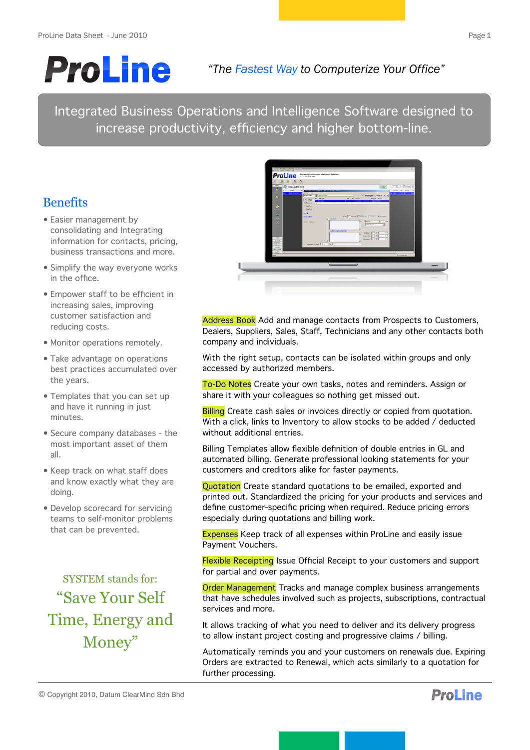# **ProLine**

# *"The Fastest Way to Computerize Your Office"*

Integrated Business Operations and Intelligence Software designed to increase productivity, efficiency and higher bottom-line.

# **Benefits**

- Easier management by consolidating and Integrating information for contacts, pricing, business transactions and more.
- Simplify the way everyone works in the office.
- Empower staff to be efficient in increasing sales, improving customer satisfaction and reducing costs.
- Monitor operations remotely.
- Take advantage on operations best practices accumulated over the years.
- Templates that you can set up and have it running in just minutes.
- Secure company databases the most important asset of them all.
- Keep track on what staff does and know exactly what they are doing.
- Develop scorecard for servicing teams to self-monitor problems that can be prevented.

SYSTEM stands for: "Save Your Self Time, Energy and Money"



Address Book Add and manage contacts from Prospects to Customers, Dealers, Suppliers, Sales, Staff, Technicians and any other contacts both company and individuals.

With the right setup, contacts can be isolated within groups and only accessed by authorized members.

To-Do Notes Create your own tasks, notes and reminders. Assign or share it with your colleagues so nothing get missed out.

**Billing** Create cash sales or invoices directly or copied from quotation. With a click, links to Inventory to allow stocks to be added / deducted without additional entries.

Billing Templates allow flexible definition of double entries in GL and automated billing. Generate professional looking statements for your customers and creditors alike for faster payments.

Quotation Create standard quotations to be emailed, exported and printed out. Standardized the pricing for your products and services and define customer-specific pricing when required. Reduce pricing errors especially during quotations and billing work.

Expenses Keep track of all expenses within ProLine and easily issue Payment Vouchers.

Flexible Receipting Issue Official Receipt to your customers and support for partial and over payments.

**Order Management** Tracks and manage complex business arrangements that have schedules involved such as projects, subscriptions, contractual services and more.

It allows tracking of what you need to deliver and its delivery progress to allow instant project costing and progressive claims / billing.

Automatically reminds you and your customers on renewals due. Expiring Orders are extracted to Renewal, which acts similarly to a quotation for further processing.

© Copyright 2010, Datum ClearMind Sdn Bhd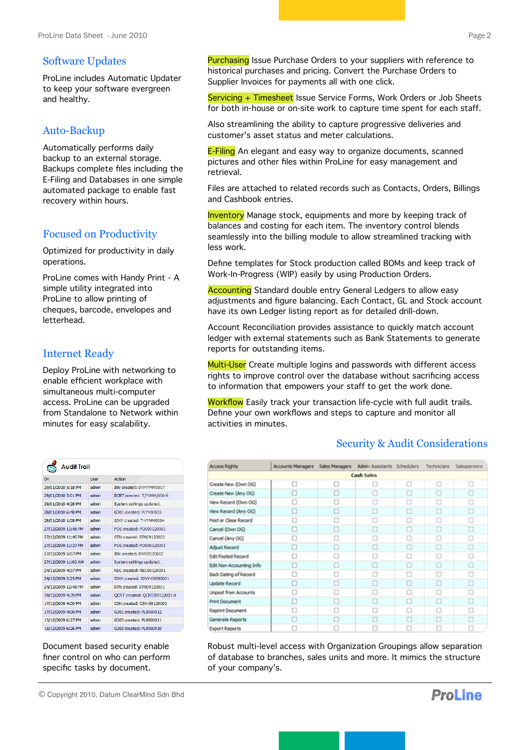#### Software Updates

ProLine includes Automatic Updater to keep your software evergreen and healthy.

## Auto-Backup

Automatically performs daily backup to an external storage. Backups complete files including the E-Filing and Databases in one simple automated package to enable fast recovery within hours.

# Focused on Productivity

Optimized for productivity in daily operations.

ProLine comes with Handy Print - A simple utility integrated into ProLine to allow printing of cheques, barcode, envelopes and letterhead.

## Internet Ready

Deploy ProLine with networking to enable efficient workplace with simultaneous multi-computer access. ProLine can be upgraded from Standalone to Network within minutes for easy scalability.

| Audit Trail         |             |                                 |  |  |  |  |
|---------------------|-------------|---------------------------------|--|--|--|--|
| On                  | <b>User</b> | Action                          |  |  |  |  |
| 29/01/2010 5:18 PM  | admin       | <b>INV created: INVYYMM0007</b> |  |  |  |  |
| 29/01/2010 5:01 PM  | admin       | BCRT created: T/YYMM/006-R      |  |  |  |  |
| 29/01/2010 4:28 PM  | admin       | System settings updated.        |  |  |  |  |
| 28/01/2010 6:40 PM  | admin       | G301 created: PLYY00005         |  |  |  |  |
| 28/01/2010 1:08 PM  | admin       | SINV created: T-YYMM0004        |  |  |  |  |
| 27/12/2009 11:46 PM | admin       | POS created: POS09120002        |  |  |  |  |
| 27/12/2009 11:45 PM | admin       | STN created: STN09120002        |  |  |  |  |
| 27/12/2009 11:27 PM | admin       | POS created: POS09120001        |  |  |  |  |
| 27/12/2009 5:57 PM  | admin       | INV created: INV09120002        |  |  |  |  |
| 27/12/2009 11:02 AM | admin       | System settings updated.        |  |  |  |  |
| 24/12/2009 4:37 PM  | admin       | REC created: REC09120001        |  |  |  |  |
| 24/12/2009 2:25 PM  | admin       | SINV created: SINV-09090001     |  |  |  |  |
| 24/12/2009 12:48 PM | admin       | STN created: STN09120001        |  |  |  |  |
| 19/12/2009 4:39 PM  | admin       | QCRT created: QCRT/0912/001-0   |  |  |  |  |
| 17/12/2009 4:00 PM  | admin       | CSN created: CSN-09120002       |  |  |  |  |
| 17/12/2009 4:00 PM  | admin       | G301 created: PL0900012         |  |  |  |  |
| 15/12/2009 6:27 PM  | admin       | G303 created: PL0900011         |  |  |  |  |
| 15/12/2009 6:26 PM  | admin       | G303 created: PL0900010         |  |  |  |  |

Document based security enable finer control on who can perform specific tasks by document.

© Copyright 2010, Datum ClearMind Sdn Bhd

Purchasing Issue Purchase Orders to your suppliers with reference to historical purchases and pricing. Convert the Purchase Orders to Supplier Invoices for payments all with one click.

Servicing + Timesheet Issue Service Forms, Work Orders or Job Sheets for both in-house or on-site work to capture time spent for each staff.

Also streamlining the ability to capture progressive deliveries and customer's asset status and meter calculations.

**E-Filing** An elegant and easy way to organize documents, scanned pictures and other files within ProLine for easy management and retrieval.

Files are attached to related records such as Contacts, Orders, Billings and Cashbook entries.

**Inventory** Manage stock, equipments and more by keeping track of balances and costing for each item. The inventory control blends seamlessly into the billing module to allow streamlined tracking with less work.

Define templates for Stock production called BOMs and keep track of Work-In-Progress (WIP) easily by using Production Orders.

Accounting Standard double entry General Ledgers to allow easy adjustments and figure balancing. Each Contact, GL and Stock account have its own Ledger listing report as for detailed drill-down.

Account Reconciliation provides assistance to quickly match account ledger with external statements such as Bank Statements to generate reports for outstanding items.

Multi-User Create multiple logins and passwords with different access rights to improve control over the database without sacrificing access to information that empowers your staff to get the work done.

Workflow Easily track your transaction life-cycle with full audit trails. Define your own workflows and steps to capture and monitor all activities in minutes.

#### Security & Audit Considerations

| <b>Access Rights</b>        | Accounts Managers | Sales Managers | Admin Assistants Schedulers |  | Technicians | Salespersons |  |  |
|-----------------------------|-------------------|----------------|-----------------------------|--|-------------|--------------|--|--|
| <b>Cash Sales</b>           |                   |                |                             |  |             |              |  |  |
| Create New (Own OG)         |                   |                | о                           |  | o           | о            |  |  |
| Create New (Any OG)         |                   |                |                             |  |             |              |  |  |
| View Record (Own OG)        |                   |                |                             |  |             |              |  |  |
| View Record (Any OG)        |                   |                |                             |  | □           | □            |  |  |
| Post or Close Record        |                   | п              | п                           |  | п           | п            |  |  |
| Cancel (Own OG)             |                   |                | о                           |  | о           | о            |  |  |
| Cancel (Any OG)             |                   |                | ш                           |  |             |              |  |  |
| <b>Adjust Record</b>        |                   |                |                             |  |             |              |  |  |
| <b>Edit Posted Record</b>   |                   |                |                             |  |             |              |  |  |
| Edit Non-Accounting Info    |                   |                |                             |  | O           | □            |  |  |
| Back Dating of Record       |                   | Ω              |                             |  | п           | п            |  |  |
| <b>Update Record</b>        |                   |                |                             |  |             | о            |  |  |
| <b>Unpost from Accounts</b> |                   |                |                             |  |             |              |  |  |
| Print Document              |                   |                |                             |  |             |              |  |  |
| <b>Reprint Document</b>     |                   |                |                             |  |             |              |  |  |
| Generate Reports            |                   |                |                             |  |             |              |  |  |
| <b>Export Reports</b>       |                   |                |                             |  |             |              |  |  |

Robust multi-level access with Organization Groupings allow separation of database to branches, sales units and more. It mimics the structure of your company's.

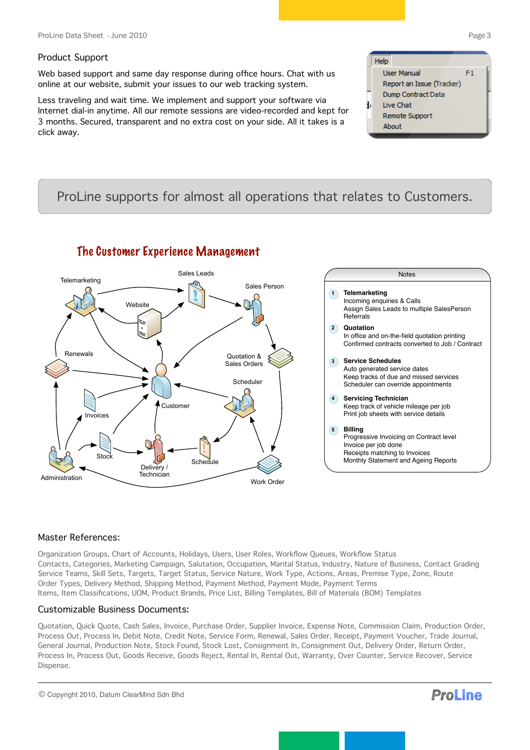#### Product Support

Web based support and same day response during office hours. Chat with us online at our website, submit your issues to our web tracking system.

Less traveling and wait time. We implement and support your software via Internet dial-in anytime. All our remote sessions are video-recorded and kept for 3 months. Secured, transparent and no extra cost on your side. All it takes is a click away.

#### Help **Liser Manual**  $F1$ Report an Issue (Tracker) Dump Contract Data Live Chat Remote Support About

# ProLine supports for almost all operations that relates to Customers.



# The Customer Experience Management

#### Master References:

Organization Groups, Chart of Accounts, Holidays, Users, User Roles, Workflow Queues, Workflow Status Contacts, Categories, Marketing Campaign, Salutation, Occupation, Marital Status, Industry, Nature of Business, Contact Grading Service Teams, Skill Sets, Targets, Target Status, Service Nature, Work Type, Actions, Areas, Premise Type, Zone, Route Order Types, Delivery Method, Shipping Method, Payment Method, Payment Mode, Payment Terms Items, Item Classifications, UOM, Product Brands, Price List, Billing Templates, Bill of Materials (BOM) Templates

#### Customizable Business Documents:

Quotation, Quick Quote, Cash Sales, Invoice, Purchase Order, Supplier Invoice, Expense Note, Commission Claim, Production Order, Process Out, Process In, Debit Note, Credit Note, Service Form, Renewal, Sales Order, Receipt, Payment Voucher, Trade Journal, General Journal, Production Note, Stock Found, Stock Lost, Consignment In, Consignment Out, Delivery Order, Return Order, Process In, Process Out, Goods Receive, Goods Reject, Rental In, Rental Out, Warranty, Over Counter, Service Recover, Service Dispense.

© Copyright 2010, Datum ClearMind Sdn Bhd

**ProLine**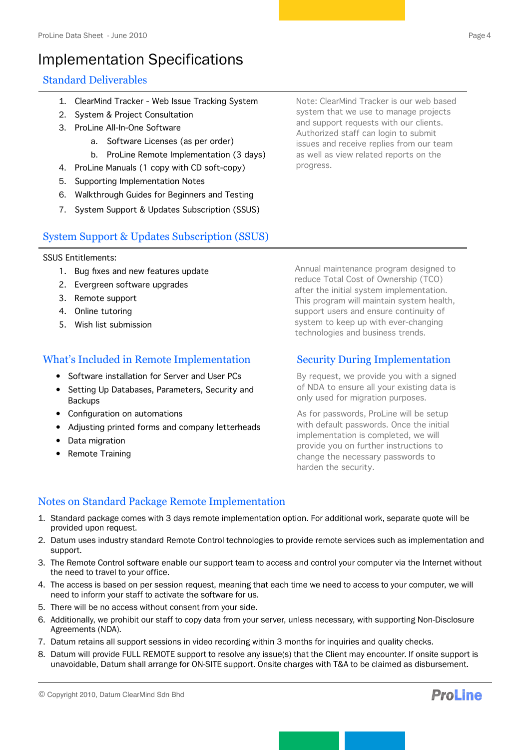# Implementation Specifications

# Standard Deliverables

- 1. ClearMind Tracker Web Issue Tracking System
- 2. System & Project Consultation
- 3. ProLine All-In-One Software
	- a. Software Licenses (as per order)
	- b. ProLine Remote Implementation (3 days)
- 4. ProLine Manuals (1 copy with CD soft-copy)
- 5. Supporting Implementation Notes
- 6. Walkthrough Guides for Beginners and Testing
- 7. System Support & Updates Subscription (SSUS)

System Support & Updates Subscription (SSUS)

#### SSUS Entitlements:

- 1. Bug fixes and new features update
- 2. Evergreen software upgrades
- 3. Remote support
- 4. Online tutoring
- 5. Wish list submission

## What's Included in Remote Implementation

- Software installation for Server and User PCs
- Setting Up Databases, Parameters, Security and Backups
- Configuration on automations
- Adjusting printed forms and company letterheads
- Data migration
- Remote Training

Annual maintenance program designed to reduce Total Cost of Ownership (TCO) after the initial system implementation. This program will maintain system health, support users and ensure continuity of system to keep up with ever-changing technologies and business trends.

## Security During Implementation

By request, we provide you with a signed of NDA to ensure all your existing data is only used for migration purposes.

As for passwords, ProLine will be setup with default passwords. Once the initial implementation is completed, we will provide you on further instructions to change the necessary passwords to harden the security.

# Notes on Standard Package Remote Implementation

- 1. Standard package comes with 3 days remote implementation option. For additional work, separate quote will be provided upon request.
- 2. Datum uses industry standard Remote Control technologies to provide remote services such as implementation and support.
- 3. The Remote Control software enable our support team to access and control your computer via the Internet without the need to travel to your office.
- 4. The access is based on per session request, meaning that each time we need to access to your computer, we will need to inform your staff to activate the software for us.
- 5. There will be no access without consent from your side.
- 6. Additionally, we prohibit our staff to copy data from your server, unless necessary, with supporting Non-Disclosure Agreements (NDA).
- 7. Datum retains all support sessions in video recording within 3 months for inquiries and quality checks.
- 8. Datum will provide FULL REMOTE support to resolve any issue(s) that the Client may encounter. If onsite support is unavoidable, Datum shall arrange for ON-SITE support. Onsite charges with T&A to be claimed as disbursement.

© Copyright 2010, Datum ClearMind Sdn Bhd



Note: ClearMind Tracker is our web based system that we use to manage projects and support requests with our clients. Authorized staff can login to submit issues and receive replies from our team as well as view related reports on the progress.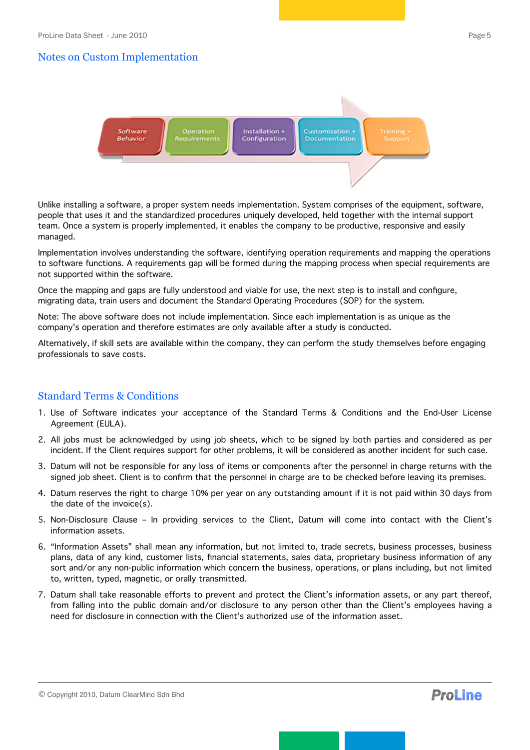## Notes on Custom Implementation



Unlike installing a software, a proper system needs implementation. System comprises of the equipment, software, people that uses it and the standardized procedures uniquely developed, held together with the internal support team. Once a system is properly implemented, it enables the company to be productive, responsive and easily managed.

Implementation involves understanding the software, identifying operation requirements and mapping the operations to software functions. A requirements gap will be formed during the mapping process when special requirements are not supported within the software.

Once the mapping and gaps are fully understood and viable for use, the next step is to install and configure, migrating data, train users and document the Standard Operating Procedures (SOP) for the system.

Note: The above software does not include implementation. Since each implementation is as unique as the company's operation and therefore estimates are only available after a study is conducted.

Alternatively, if skill sets are available within the company, they can perform the study themselves before engaging professionals to save costs.

# Standard Terms & Conditions

- 1. Use of Software indicates your acceptance of the Standard Terms & Conditions and the End-User License Agreement (EULA).
- 2. All jobs must be acknowledged by using job sheets, which to be signed by both parties and considered as per incident. If the Client requires support for other problems, it will be considered as another incident for such case.
- 3. Datum will not be responsible for any loss of items or components after the personnel in charge returns with the signed job sheet. Client is to confirm that the personnel in charge are to be checked before leaving its premises.
- 4. Datum reserves the right to charge 10% per year on any outstanding amount if it is not paid within 30 days from the date of the invoice(s).
- 5. Non-Disclosure Clause In providing services to the Client, Datum will come into contact with the Client's information assets.
- 6. "Information Assets" shall mean any information, but not limited to, trade secrets, business processes, business plans, data of any kind, customer lists, financial statements, sales data, proprietary business information of any sort and/or any non-public information which concern the business, operations, or plans including, but not limited to, written, typed, magnetic, or orally transmitted.
- 7. Datum shall take reasonable efforts to prevent and protect the Client's information assets, or any part thereof, from falling into the public domain and/or disclosure to any person other than the Client's employees having a need for disclosure in connection with the Client's authorized use of the information asset.

**ProLine**